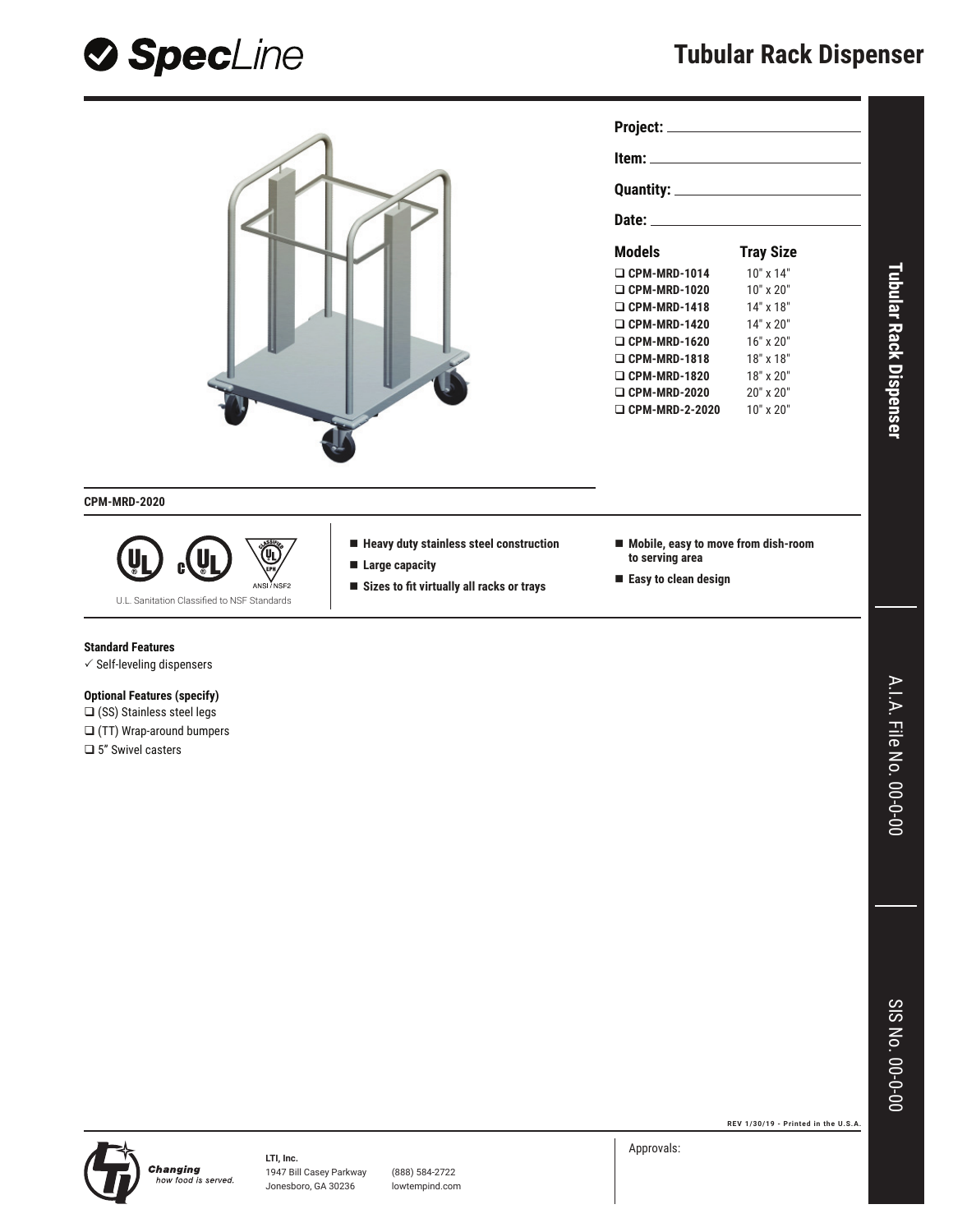



| Project: _______________________                                                                                                                                                                                              |                  |  |
|-------------------------------------------------------------------------------------------------------------------------------------------------------------------------------------------------------------------------------|------------------|--|
|                                                                                                                                                                                                                               |                  |  |
| <u> tem: ______________________________</u>                                                                                                                                                                                   |                  |  |
|                                                                                                                                                                                                                               |                  |  |
| Date: and the contract of the contract of the contract of the contract of the contract of the contract of the contract of the contract of the contract of the contract of the contract of the contract of the contract of the |                  |  |
| Models                                                                                                                                                                                                                        | <b>Tray Size</b> |  |
| $\Box$ CPM-MRD-1014                                                                                                                                                                                                           | $10"$ x $14"$    |  |
| $\Box$ CPM-MRD-1020                                                                                                                                                                                                           | $10"$ x $20"$    |  |
| $\Box$ CPM-MRD-1418                                                                                                                                                                                                           | $14"$ x $18"$    |  |
| $\Box$ CPM-MRD-1420                                                                                                                                                                                                           | $14"$ x $20"$    |  |
| $\Box$ CPM-MRD-1620                                                                                                                                                                                                           | 16" x 20"        |  |
| $\Box$ CPM-MRD-1818                                                                                                                                                                                                           | $18"$ x $18"$    |  |
| $\Box$ CPM-MRD-1820                                                                                                                                                                                                           | $18" \times 20"$ |  |

**CPM-MRD-2020**



**Heavy duty stainless steel construction** 

- **Large capacity**
- Sizes to fit virtually all racks or trays
- **Mobile, easy to move from dish-room to serving area**

 **CPM-MRD-2020** 20" x 20" **CPM-MRD-2-2020** 10" x 20"

**Easy to clean design**

#### **Standard Features**

 $\checkmark$  Self-leveling dispensers

## **Optional Features (specify)**

□ (SS) Stainless steel legs (TT) Wrap-around bumpers □ 5" Swivel casters

**Tubular Rack Dispenser**

**Tubular Rack Dispenser** 

**REV 1/30/19 - Printed in the U.S.A.**



1947 Bill Casey Parkway (888) 584-2722 Jonesboro, GA 30236 lowtempind.com Approvals: